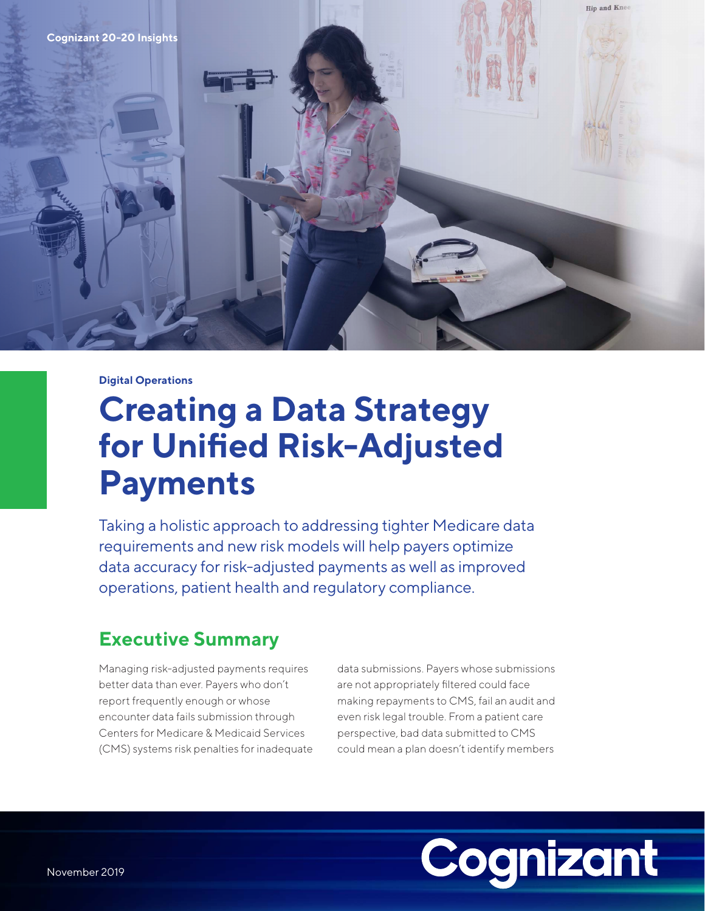

#### **Digital Operations**

# **Creating a Data Strategy for Unified Risk-Adjusted Payments**

Taking a holistic approach to addressing tighter Medicare data requirements and new risk models will help payers optimize data accuracy for risk-adjusted payments as well as improved operations, patient health and regulatory compliance.

# **Executive Summary**

Managing risk-adjusted payments requires better data than ever. Payers who don't report frequently enough or whose encounter data fails submission through Centers for Medicare & Medicaid Services (CMS) systems risk penalties for inadequate data submissions. Payers whose submissions are not appropriately filtered could face making repayments to CMS, fail an audit and even risk legal trouble. From a patient care perspective, bad data submitted to CMS could mean a plan doesn't identify members

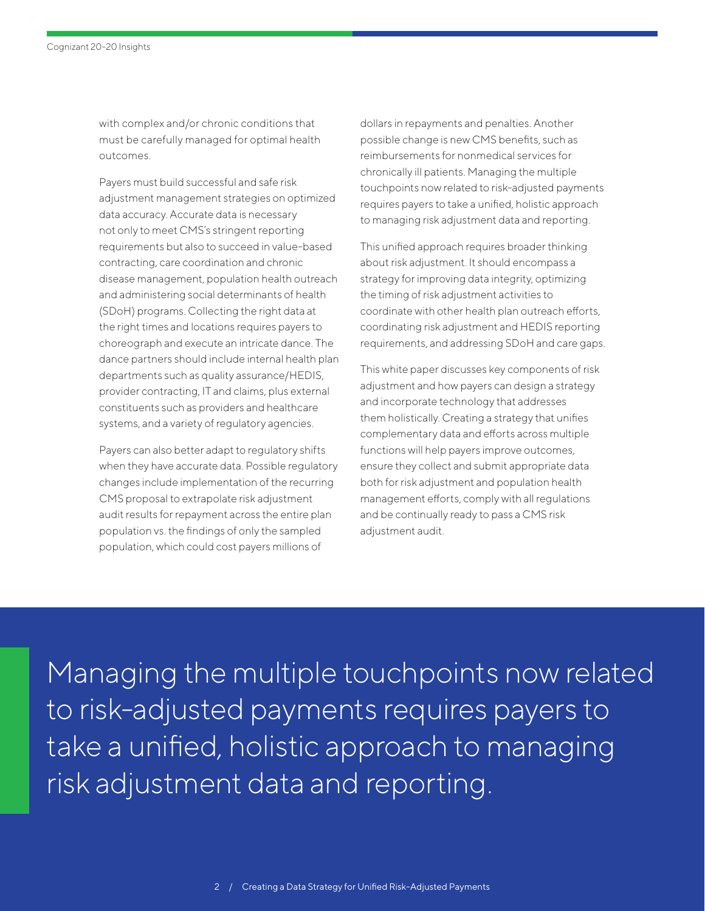with complex and/or chronic conditions that must be carefully managed for optimal health outcomes.

Payers must build successful and safe risk adjustment management strategies on optimized data accuracy. Accurate data is necessary not only to meet CMS's stringent reporting requirements but also to succeed in value-based contracting, care coordination and chronic disease management, population health outreach and administering social determinants of health (SDoH) programs. Collecting the right data at the right times and locations requires payers to choreograph and execute an intricate dance. The dance partners should include internal health plan departments such as quality assurance/HEDIS, provider contracting, IT and claims, plus external constituents such as providers and healthcare systems, and a variety of regulatory agencies.

Payers can also better adapt to regulatory shifts when they have accurate data. Possible regulatory changes include implementation of the recurring CMS proposal to extrapolate risk adjustment audit results for repayment across the entire plan population vs. the findings of only the sampled population, which could cost payers millions of

dollars in repayments and penalties. Another possible change is new CMS benefits, such as reimbursements for nonmedical services for chronically ill patients. Managing the multiple touchpoints now related to risk-adjusted payments requires payers to take a unified, holistic approach to managing risk adjustment data and reporting.

This unified approach requires broader thinking about risk adjustment. It should encompass a strategy for improving data integrity, optimizing the timing of risk adjustment activities to coordinate with other health plan outreach efforts, coordinating risk adjustment and HEDIS reporting requirements, and addressing SDoH and care gaps.

This white paper discusses key components of risk adjustment and how payers can design a strategy and incorporate technology that addresses them holistically. Creating a strategy that unifies complementary data and efforts across multiple functions will help payers improve outcomes, ensure they collect and submit appropriate data both for risk adjustment and population health management efforts, comply with all regulations and be continually ready to pass a CMS risk adjustment audit.

Managing the multiple touchpoints now related to risk-adjusted payments requires payers to take a unified, holistic approach to managing risk adjustment data and reporting.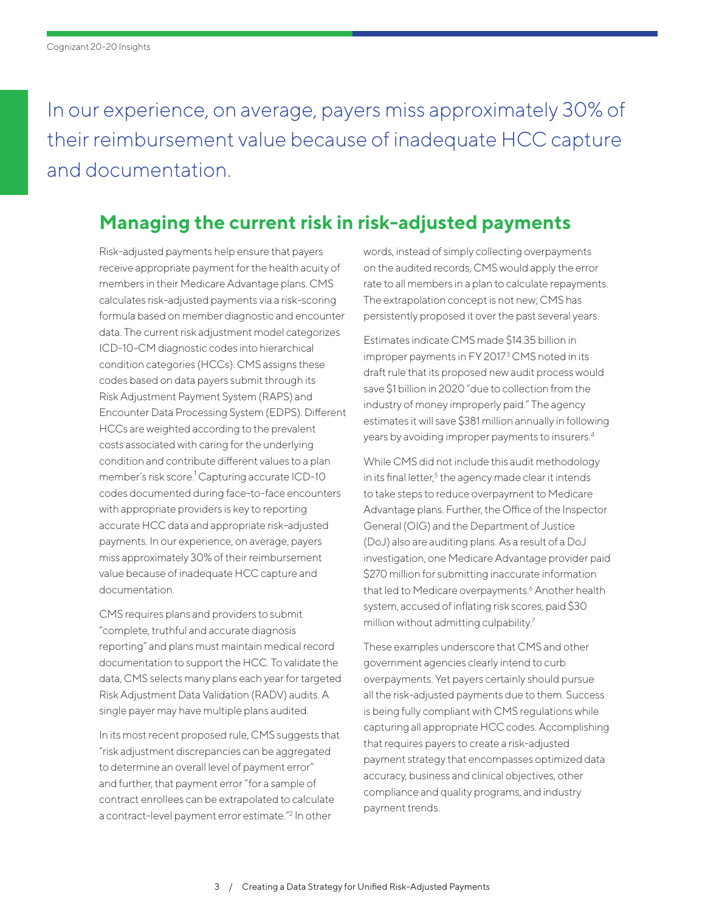In our experience, on average, payers miss approximately 30% of their reimbursement value because of inadequate HCC capture and documentation.

# **Managing the current risk in risk-adjusted payments**

Risk-adjusted payments help ensure that payers receive appropriate payment for the health acuity of members in their Medicare Advantage plans. CMS calculates risk-adjusted payments via a risk-scoring formula based on member diagnostic and encounter data. The current risk adjustment model categorizes ICD-10-CM diagnostic codes into hierarchical condition categories (HCCs). CMS assigns these codes based on data payers submit through its Risk Adjustment Payment System (RAPS) and Encounter Data Processing System (EDPS). Different HCCs are weighted according to the prevalent costs associated with caring for the underlying condition and contribute different values to a plan member'srisk score.<sup>1</sup> Capturing accurate ICD-10 codes documented during face-to-face encounters with appropriate providers is key to reporting accurate HCC data and appropriate risk-adjusted payments. In our experience, on average, payers miss approximately 30% of their reimbursement value because of inadequate HCC capture and documentation.

CMS requires plans and providers to submit "complete, truthful and accurate diagnosis reporting" and plans must maintain medical record documentation to support the HCC. To validate the data, CMS selects many plans each year for targeted Risk Adjustment Data Validation (RADV) audits. A single payer may have multiple plans audited.

In its most recent proposed rule, CMS suggests that "risk adjustment discrepancies can be aggregated to determine an overall level of payment error" and further, that payment error "for a sample of contract enrollees can be extrapolated to calculate a contract-level payment error estimate."<sup>2</sup> In other

words, instead of simply collecting overpayments on the audited records, CMS would apply the error rate to all members in a plan to calculate repayments. The extrapolation concept is not new; CMS has persistently proposed it over the past several years.

Estimates indicate CMS made \$14.35 billion in improper payments in FY 2017.<sup>3</sup> CMS noted in its draft rule that its proposed new audit process would save \$1 billion in 2020 "due to collection from the industry of money improperly paid." The agency estimates it will save \$381 million annually in following years by avoiding improper payments to insurers[.4](#page-12-0)

While CMS did not include this audit methodology in its final letter,<sup>5</sup> the agency made clear it intends to take steps to reduce overpayment to Medicare Advantage plans. Further, the Office of the Inspector General (OIG) and the Department of Justice (DoJ) also are auditing plans. As a result of a DoJ investigation, one Medicare Advantage provider paid \$270 million for submitting inaccurate information that led to Medicare overpayments.<sup>[6](#page-12-0)</sup> Another health system, accused of inflating risk scores, paid \$30 million without admitting culpability.<sup>7</sup>

These examples underscore that CMS and other government agencies clearly intend to curb overpayments. Yet payers certainly should pursue all the risk-adjusted payments due to them. Success is being fully compliant with CMS regulations while capturing all appropriate HCC codes. Accomplishing that requires payers to create a risk-adjusted payment strategy that encompasses optimized data accuracy, business and clinical objectives, other compliance and quality programs, and industry payment trends.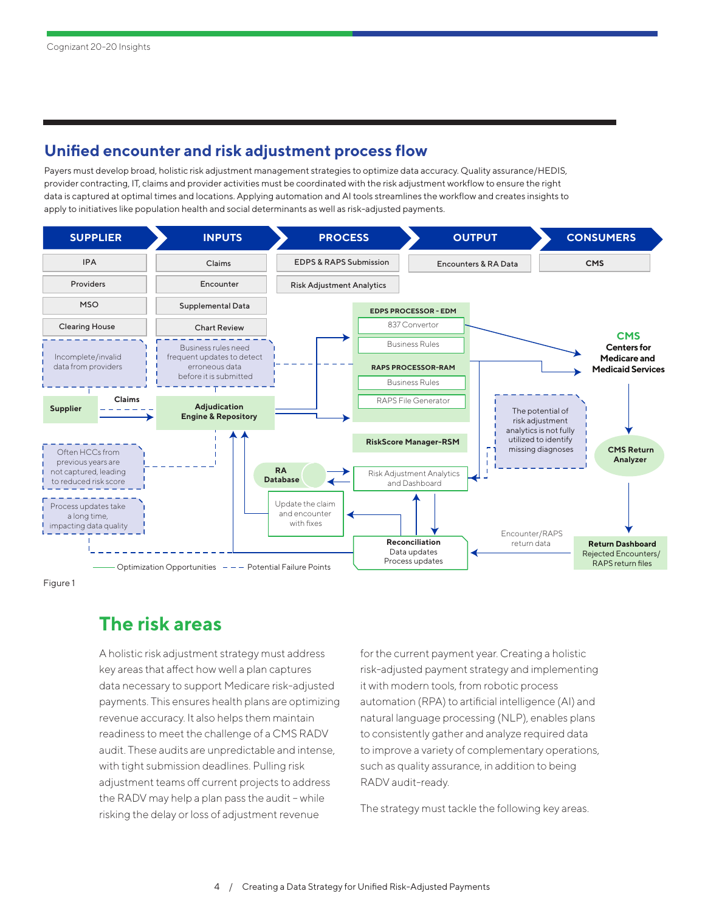#### **Unified encounter and risk adjustment process flow**

Payers must develop broad, holistic risk adjustment management strategies to optimize data accuracy. Quality assurance/HEDIS, provider contracting, IT, claims and provider activities must be coordinated with the risk adjustment workflow to ensure the right data is captured at optimal times and locations. Applying automation and AI tools streamlines the workflow and creates insights to apply to initiatives like population health and social determinants as well as risk-adjusted payments.



Figure 1

## **The risk areas**

A holistic risk adjustment strategy must address key areas that affect how well a plan captures data necessary to support Medicare risk-adjusted payments. This ensures health plans are optimizing revenue accuracy. It also helps them maintain readiness to meet the challenge of a CMS RADV audit. These audits are unpredictable and intense, with tight submission deadlines. Pulling risk adjustment teams off current projects to address the RADV may help a plan pass the audit – while risking the delay or loss of adjustment revenue

for the current payment year. Creating a holistic risk-adjusted payment strategy and implementing it with modern tools, from robotic process automation (RPA) to artificial intelligence (AI) and natural language processing (NLP), enables plans to consistently gather and analyze required data to improve a variety of complementary operations, such as quality assurance, in addition to being RADV audit-ready.

The strategy must tackle the following key areas.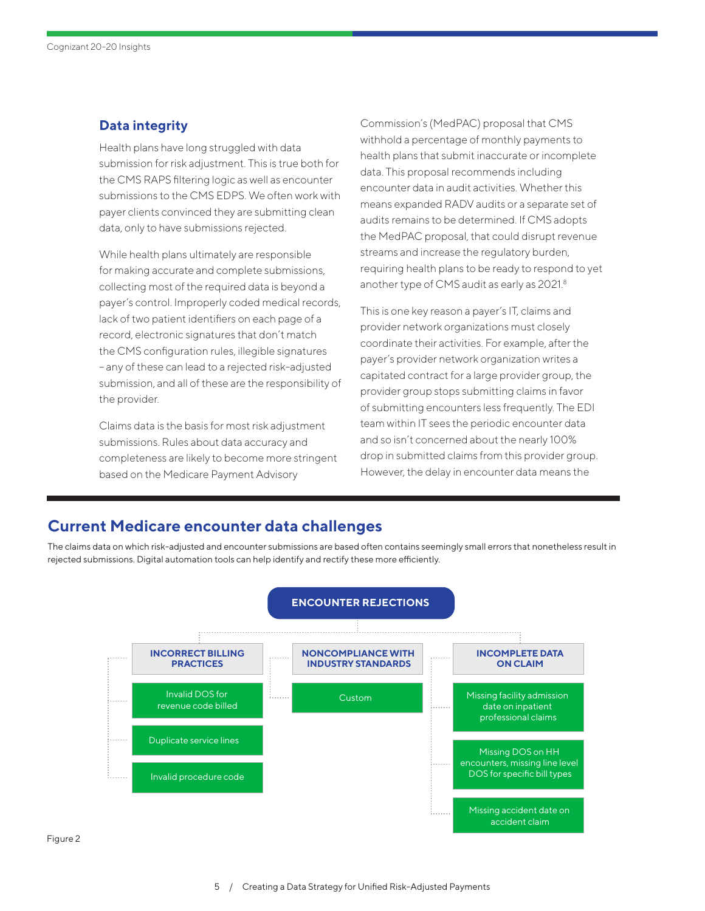## **Data integrity**

Health plans have long struggled with data submission for risk adjustment. This is true both for the CMS RAPS filtering logic as well as encounter submissions to the CMS EDPS. We often work with payer clients convinced they are submitting clean data, only to have submissions rejected.

While health plans ultimately are responsible for making accurate and complete submissions, collecting most of the required data is beyond a payer's control. Improperly coded medical records, lack of two patient identifiers on each page of a record, electronic signatures that don't match the CMS configuration rules, illegible signatures – any of these can lead to a rejected risk-adjusted submission, and all of these are the responsibility of the provider.

Claims data is the basis for most risk adjustment submissions. Rules about data accuracy and completeness are likely to become more stringent based on the Medicare Payment Advisory

Commission's (MedPAC) proposal that CMS withhold a percentage of monthly payments to health plans that submit inaccurate or incomplete data. This proposal recommends including encounter data in audit activities. Whether this means expanded RADV audits or a separate set of audits remains to be determined. If CMS adopts the MedPAC proposal, that could disrupt revenue streams and increase the regulatory burden, requiring health plans to be ready to respond to yet another type of CMS audit as early as 2021[.8](#page-13-0)

This is one key reason a payer's IT, claims and provider network organizations must closely coordinate their activities. For example, after the payer's provider network organization writes a capitated contract for a large provider group, the provider group stops submitting claims in favor of submitting encounters less frequently. The EDI team within IT sees the periodic encounter data and so isn't concerned about the nearly 100% drop in submitted claims from this provider group. However, the delay in encounter data means the

## **Current Medicare encounter data challenges**

The claims data on which risk-adjusted and encounter submissions are based often contains seemingly small errors that nonetheless result in rejected submissions. Digital automation tools can help identify and rectify these more efficiently.

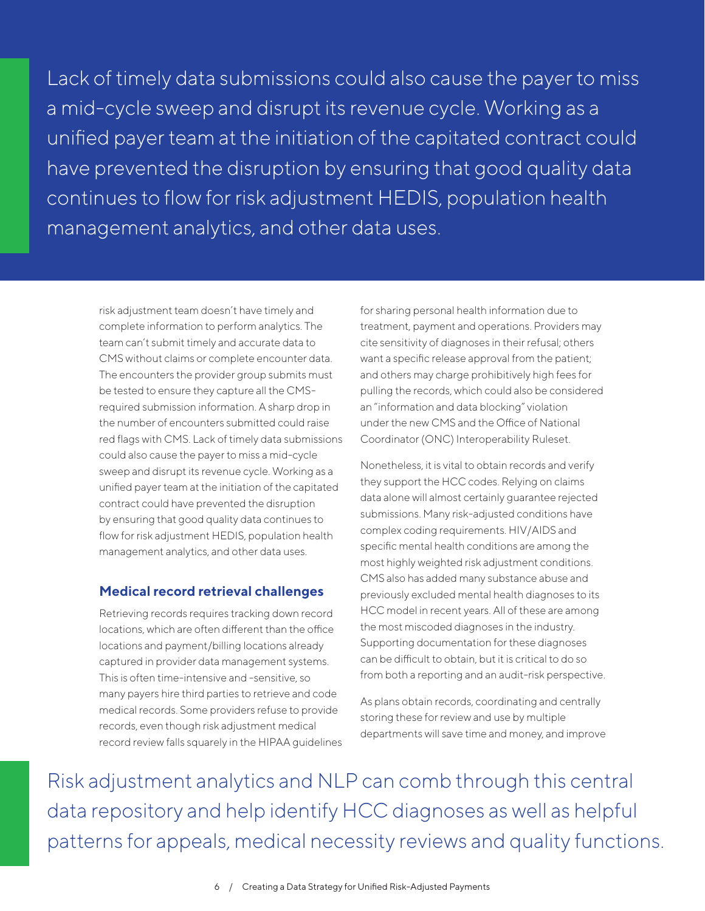Lack of timely data submissions could also cause the payer to miss a mid-cycle sweep and disrupt its revenue cycle. Working as a unified payer team at the initiation of the capitated contract could have prevented the disruption by ensuring that good quality data continues to flow for risk adjustment HEDIS, population health management analytics, and other data uses.

risk adjustment team doesn't have timely and complete information to perform analytics. The team can't submit timely and accurate data to CMS without claims or complete encounter data. The encounters the provider group submits must be tested to ensure they capture all the CMSrequired submission information. A sharp drop in the number of encounters submitted could raise red flags with CMS. Lack of timely data submissions could also cause the payer to miss a mid-cycle sweep and disrupt its revenue cycle. Working as a unified payer team at the initiation of the capitated contract could have prevented the disruption by ensuring that good quality data continues to flow for risk adjustment HEDIS, population health management analytics, and other data uses.

#### **Medical record retrieval challenges**

Retrieving records requires tracking down record locations, which are often different than the office locations and payment/billing locations already captured in provider data management systems. This is often time-intensive and -sensitive, so many payers hire third parties to retrieve and code medical records. Some providers refuse to provide records, even though risk adjustment medical record review falls squarely in the HIPAA guidelines for sharing personal health information due to treatment, payment and operations. Providers may cite sensitivity of diagnoses in their refusal; others want a specific release approval from the patient; and others may charge prohibitively high fees for pulling the records, which could also be considered an "information and data blocking" violation under the new CMS and the Office of National Coordinator (ONC) Interoperability Ruleset.

Nonetheless, it is vital to obtain records and verify they support the HCC codes. Relying on claims data alone will almost certainly guarantee rejected submissions. Many risk-adjusted conditions have complex coding requirements. HIV/AIDS and specific mental health conditions are among the most highly weighted risk adjustment conditions. CMS also has added many substance abuse and previously excluded mental health diagnoses to its HCC model in recent years. All of these are among the most miscoded diagnoses in the industry. Supporting documentation for these diagnoses can be difficult to obtain, but it is critical to do so from both a reporting and an audit-risk perspective.

As plans obtain records, coordinating and centrally storing these for review and use by multiple departments will save time and money, and improve

Risk adjustment analytics and NLP can comb through this central data repository and help identify HCC diagnoses as well as helpful patterns for appeals, medical necessity reviews and quality functions.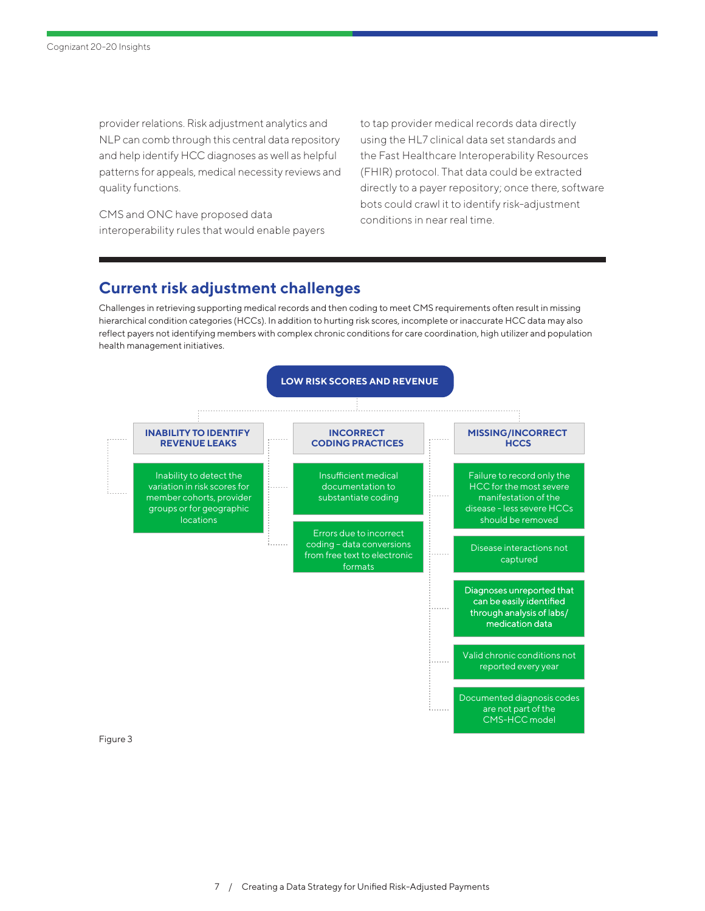provider relations. Risk adjustment analytics and NLP can comb through this central data repository and help identify HCC diagnoses as well as helpful patterns for appeals, medical necessity reviews and quality functions.

CMS and ONC have proposed data interoperability rules that would enable payers to tap provider medical records data directly using the HL7 clinical data set standards and the Fast Healthcare Interoperability Resources (FHIR) protocol. That data could be extracted directly to a payer repository; once there, software bots could crawl it to identify risk-adjustment conditions in near real time.

## **Current risk adjustment challenges**

Challenges in retrieving supporting medical records and then coding to meet CMS requirements often result in missing hierarchical condition categories (HCCs). In addition to hurting risk scores, incomplete or inaccurate HCC data may also reflect payers not identifying members with complex chronic conditions for care coordination, high utilizer and population health management initiatives.



Figure 3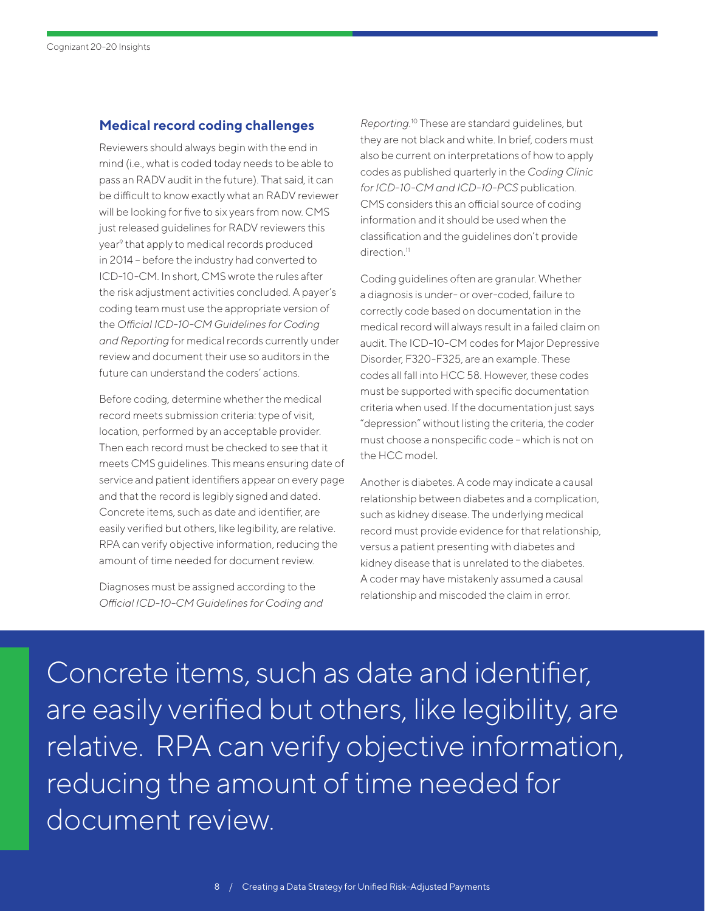#### **Medical record coding challenges**

Reviewers should always begin with the end in mind (i.e., what is coded today needs to be able to pass an RADV audit in the future). That said, it can be difficult to know exactly what an RADV reviewer will be looking for five to six years from now. CMS just released guidelines for RADV reviewers this year<sup>[9](#page-13-0)</sup> that apply to medical records produced in 2014 – before the industry had converted to ICD-10-CM. In short, CMS wrote the rules after the risk adjustment activities concluded. A payer's coding team must use the appropriate version of the *Official ICD-10-CM Guidelines for Coding and Reporting* for medical records currently under review and document their use so auditors in the future can understand the coders' actions.

Before coding, determine whether the medical record meets submission criteria: type of visit, location, performed by an acceptable provider. Then each record must be checked to see that it meets CMS guidelines. This means ensuring date of service and patient identifiers appear on every page and that the record is legibly signed and dated. Concrete items, such as date and identifier, are easily verified but others, like legibility, are relative. RPA can verify objective information, reducing the amount of time needed for document review.

Diagnoses must be assigned according to the *Official ICD-10-CM Guidelines for Coding and*  *Reporting.*[10](#page-13-0) These are standard guidelines, but they are not black and white. In brief, coders must also be current on interpretations of how to apply codes as published quarterly in the *Coding Clinic for ICD-10-CM and ICD-10-PCS* publication. CMS considers this an official source of coding information and it should be used when the classification and the guidelines don't provide direction.<sup>11</sup>

Coding guidelines often are granular. Whether a diagnosis is under- or over-coded, failure to correctly code based on documentation in the medical record will always result in a failed claim on audit. The ICD-10-CM codes for Major Depressive Disorder, F320-F325, are an example. These codes all fall into HCC 58. However, these codes must be supported with specific documentation criteria when used. If the documentation just says "depression" without listing the criteria, the coder must choose a nonspecific code – which is not on the HCC model.

Another is diabetes. A code may indicate a causal relationship between diabetes and a complication, such as kidney disease. The underlying medical record must provide evidence for that relationship, versus a patient presenting with diabetes and kidney disease that is unrelated to the diabetes. A coder may have mistakenly assumed a causal relationship and miscoded the claim in error.

Concrete items, such as date and identifier, are easily verified but others, like legibility, are relative. RPA can verify objective information, reducing the amount of time needed for document review.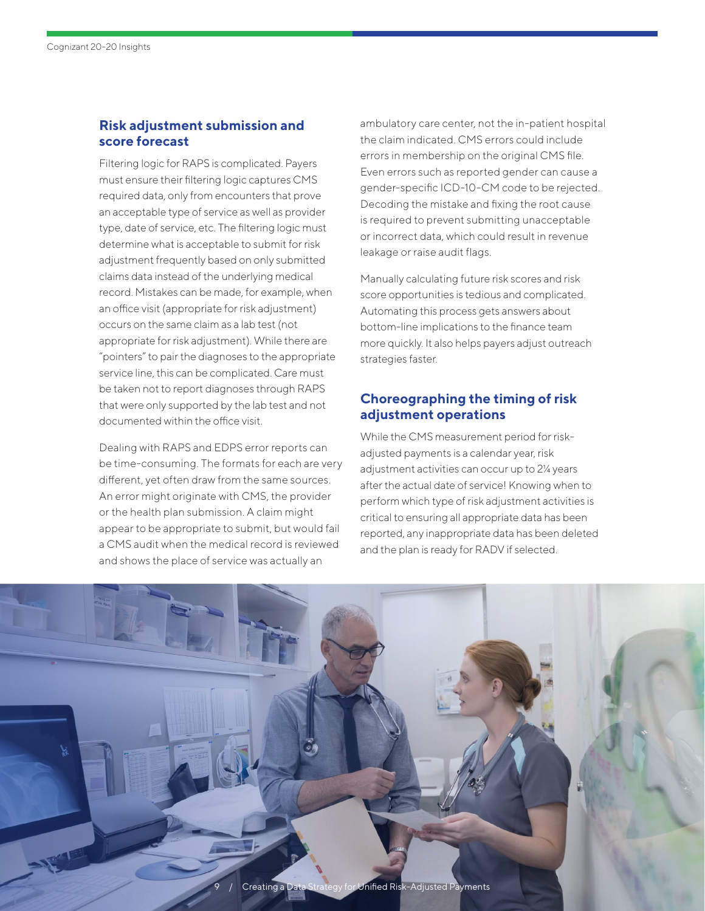## **Risk adjustment submission and score forecast**

Filtering logic for RAPS is complicated. Payers must ensure their filtering logic captures CMS required data, only from encounters that prove an acceptable type of service as well as provider type, date of service, etc. The filtering logic must determine what is acceptable to submit for risk adjustment frequently based on only submitted claims data instead of the underlying medical record. Mistakes can be made, for example, when an office visit (appropriate for risk adjustment) occurs on the same claim as a lab test (not appropriate for risk adjustment). While there are "pointers" to pair the diagnoses to the appropriate service line, this can be complicated. Care must be taken not to report diagnoses through RAPS that were only supported by the lab test and not documented within the office visit.

Dealing with RAPS and EDPS error reports can be time-consuming. The formats for each are very different, yet often draw from the same sources. An error might originate with CMS, the provider or the health plan submission. A claim might appear to be appropriate to submit, but would fail a CMS audit when the medical record is reviewed and shows the place of service was actually an

ambulatory care center, not the in-patient hospital the claim indicated. CMS errors could include errors in membership on the original CMS file. Even errors such as reported gender can cause a gender-specific ICD-10-CM code to be rejected. Decoding the mistake and fixing the root cause is required to prevent submitting unacceptable or incorrect data, which could result in revenue leakage or raise audit flags.

Manually calculating future risk scores and risk score opportunities is tedious and complicated. Automating this process gets answers about bottom-line implications to the finance team more quickly. It also helps payers adjust outreach strategies faster.

## **Choreographing the timing of risk adjustment operations**

While the CMS measurement period for riskadjusted payments is a calendar year, risk adjustment activities can occur up to 2¼ years after the actual date of service! Knowing when to perform which type of risk adjustment activities is critical to ensuring all appropriate data has been reported, any inappropriate data has been deleted and the plan is ready for RADV if selected.

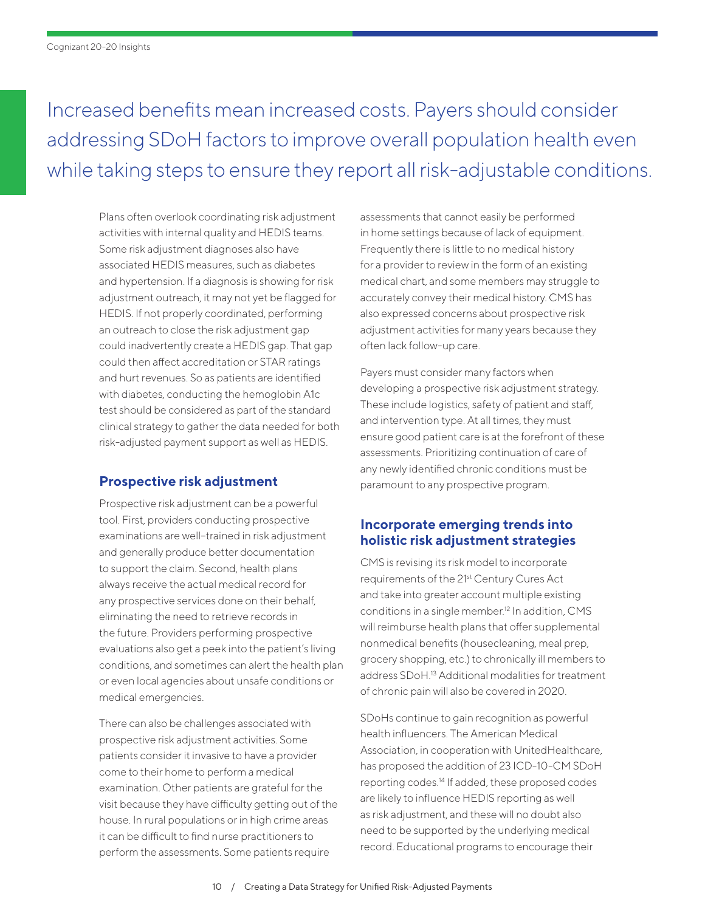Increased benefits mean increased costs. Payers should consider addressing SDoH factors to improve overall population health even while taking steps to ensure they report all risk-adjustable conditions.

Plans often overlook coordinating risk adjustment activities with internal quality and HEDIS teams. Some risk adjustment diagnoses also have associated HEDIS measures, such as diabetes and hypertension. If a diagnosis is showing for risk adjustment outreach, it may not yet be flagged for HEDIS. If not properly coordinated, performing an outreach to close the risk adjustment gap could inadvertently create a HEDIS gap. That gap could then affect accreditation or STAR ratings and hurt revenues. So as patients are identified with diabetes, conducting the hemoglobin A1c test should be considered as part of the standard clinical strategy to gather the data needed for both risk-adjusted payment support as well as HEDIS.

#### **Prospective risk adjustment**

Prospective risk adjustment can be a powerful tool. First, providers conducting prospective examinations are well-trained in risk adjustment and generally produce better documentation to support the claim. Second, health plans always receive the actual medical record for any prospective services done on their behalf, eliminating the need to retrieve records in the future. Providers performing prospective evaluations also get a peek into the patient's living conditions, and sometimes can alert the health plan or even local agencies about unsafe conditions or medical emergencies.

There can also be challenges associated with prospective risk adjustment activities. Some patients consider it invasive to have a provider come to their home to perform a medical examination. Other patients are grateful for the visit because they have difficulty getting out of the house. In rural populations or in high crime areas it can be difficult to find nurse practitioners to perform the assessments. Some patients require

assessments that cannot easily be performed in home settings because of lack of equipment. Frequently there is little to no medical history for a provider to review in the form of an existing medical chart, and some members may struggle to accurately convey their medical history. CMS has also expressed concerns about prospective risk adjustment activities for many years because they often lack follow-up care.

Payers must consider many factors when developing a prospective risk adjustment strategy. These include logistics, safety of patient and staff, and intervention type. At all times, they must ensure good patient care is at the forefront of these assessments. Prioritizing continuation of care of any newly identified chronic conditions must be paramount to any prospective program.

## **Incorporate emerging trends into holistic risk adjustment strategies**

CMS is revising its risk model to incorporate requirements of the 21st Century Cures Act and take into greater account multiple existing conditions in a single member[.12](#page-13-0) In addition, CMS will reimburse health plans that offer supplemental nonmedical benefits (housecleaning, meal prep, grocery shopping, etc.) to chronically ill members to address SDoH[.13](#page-13-0) Additional modalities for treatment of chronic pain will also be covered in 2020.

SDoHs continue to gain recognition as powerful health influencers. The American Medical Association, in cooperation with UnitedHealthcare, has proposed the addition of 23 ICD-10-CM SDoH reporting codes[.14](#page-13-0) If added, these proposed codes are likely to influence HEDIS reporting as well as risk adjustment, and these will no doubt also need to be supported by the underlying medical record. Educational programs to encourage their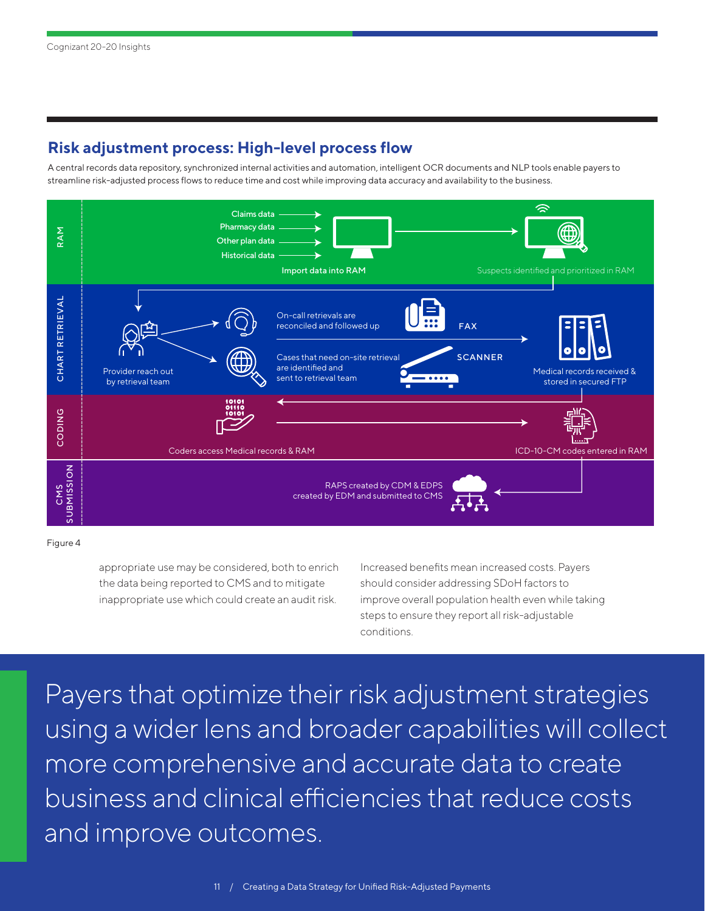## **Risk adjustment process: High-level process flow**

A central records data repository, synchronized internal activities and automation, intelligent OCR documents and NLP tools enable payers to streamline risk-adjusted process flows to reduce time and cost while improving data accuracy and availability to the business.



Figure 4

appropriate use may be considered, both to enrich the data being reported to CMS and to mitigate inappropriate use which could create an audit risk.

Increased benefits mean increased costs. Payers should consider addressing SDoH factors to improve overall population health even while taking steps to ensure they report all risk-adjustable conditions.

Payers that optimize their risk adjustment strategies using a wider lens and broader capabilities will collect more comprehensive and accurate data to create business and clinical efficiencies that reduce costs and improve outcomes.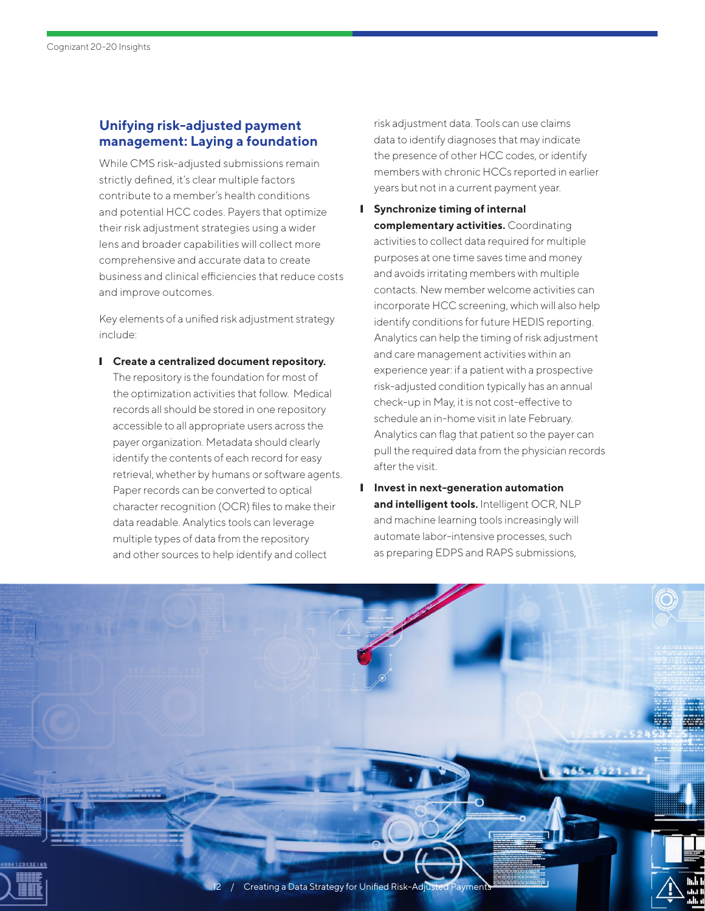## **Unifying risk-adjusted payment management: Laying a foundation**

While CMS risk-adjusted submissions remain strictly defined, it's clear multiple factors contribute to a member's health conditions and potential HCC codes. Payers that optimize their risk adjustment strategies using a wider lens and broader capabilities will collect more comprehensive and accurate data to create business and clinical efficiencies that reduce costs and improve outcomes.

Key elements of a unified risk adjustment strategy include:

❙ **Create a centralized document repository.** The repository is the foundation for most of the optimization activities that follow. Medical records all should be stored in one repository accessible to all appropriate users across the payer organization. Metadata should clearly identify the contents of each record for easy retrieval, whether by humans or software agents. Paper records can be converted to optical character recognition (OCR) files to make their data readable. Analytics tools can leverage multiple types of data from the repository and other sources to help identify and collect

risk adjustment data. Tools can use claims data to identify diagnoses that may indicate the presence of other HCC codes, or identify members with chronic HCCs reported in earlier years but not in a current payment year.

- ❙ **Synchronize timing of internal complementary activities.** Coordinating activities to collect data required for multiple purposes at one time saves time and money and avoids irritating members with multiple contacts. New member welcome activities can incorporate HCC screening, which will also help identify conditions for future HEDIS reporting. Analytics can help the timing of risk adjustment and care management activities within an experience year: if a patient with a prospective risk-adjusted condition typically has an annual check-up in May, it is not cost-effective to schedule an in-home visit in late February. Analytics can flag that patient so the payer can pull the required data from the physician records after the visit.
- ❙ **Invest in next-generation automation and intelligent tools.** Intelligent OCR, NLP and machine learning tools increasingly will automate labor-intensive processes, such as preparing EDPS and RAPS submissions,

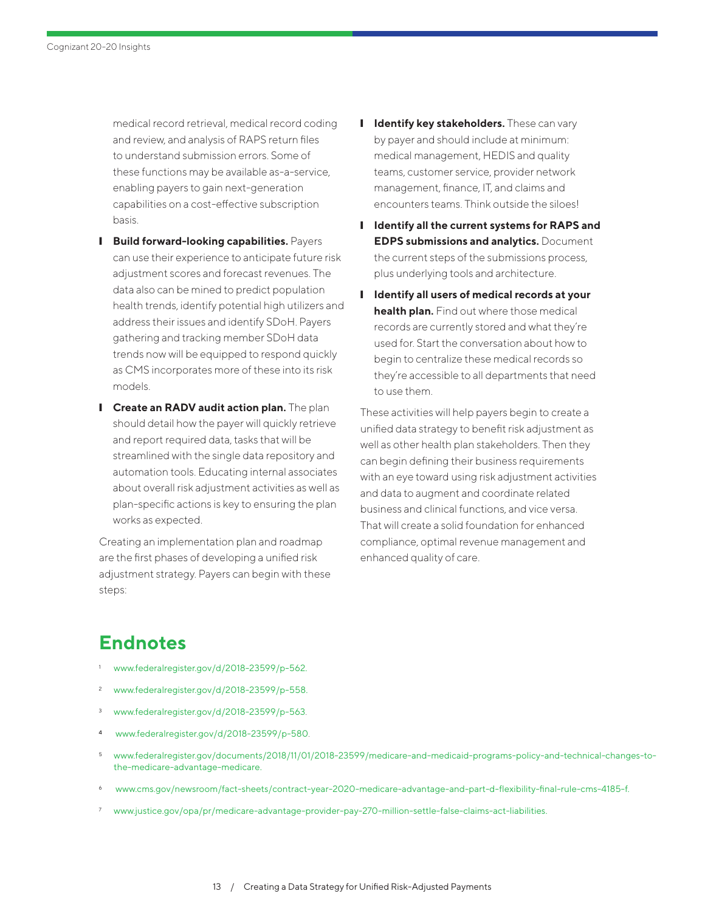<span id="page-12-0"></span>medical record retrieval, medical record coding and review, and analysis of RAPS return files to understand submission errors. Some of these functions may be available as-a-service, enabling payers to gain next-generation capabilities on a cost-effective subscription basis.

- ❙ **Build forward-looking capabilities.** Payers can use their experience to anticipate future risk adjustment scores and forecast revenues. The data also can be mined to predict population health trends, identify potential high utilizers and address their issues and identify SDoH. Payers gathering and tracking member SDoH data trends now will be equipped to respond quickly as CMS incorporates more of these into its risk models.
- **I** Create an RADV audit action plan. The plan should detail how the payer will quickly retrieve and report required data, tasks that will be streamlined with the single data repository and automation tools. Educating internal associates about overall risk adjustment activities as well as plan-specific actions is key to ensuring the plan works as expected.

Creating an implementation plan and roadmap are the first phases of developing a unified risk adjustment strategy. Payers can begin with these steps:

- **I** Identify key stakeholders. These can vary by payer and should include at minimum: medical management, HEDIS and quality teams, customer service, provider network management, finance, IT, and claims and encounters teams. Think outside the siloes!
- ❙ **Identify all the current systems for RAPS and EDPS submissions and analytics.** Document the current steps of the submissions process, plus underlying tools and architecture.
- ❙ **Identify all users of medical records at your health plan.** Find out where those medical records are currently stored and what they're used for. Start the conversation about how to begin to centralize these medical records so they're accessible to all departments that need to use them.

These activities will help payers begin to create a unified data strategy to benefit risk adjustment as well as other health plan stakeholders. Then they can begin defining their business requirements with an eye toward using risk adjustment activities and data to augment and coordinate related business and clinical functions, and vice versa. That will create a solid foundation for enhanced compliance, optimal revenue management and enhanced quality of care.

# **Endnotes**

- [www.federalregister.gov/d/2018-23599/p-562](https://www.federalregister.gov/d/2018-23599/p-562).
- <sup>2</sup> [www.federalregister.gov/d/2018-23599/p-558.](https://www.federalregister.gov/d/2018-23599/p-558)
- <sup>3</sup> [www.federalregister.gov/d/2018-23599/p-563](https://www.federalregister.gov/d/2018-23599/p-563).
- <sup>4</sup> [www.federalregister.gov/d/2018-23599/p-580](http://www.federalregister.gov/d/2018-23599/p-580).
- <sup>5</sup> [www.federalregister.gov/documents/2018/11/01/2018-23599/medicare-and-medicaid-programs-policy-and-technical-changes-to](https://www.federalregister.gov/documents/2018/11/01/2018-23599/medicare-and-medicaid-programs-policy-and-technical-changes-to-the-medicare-advantage-medicare)[the-medicare-advantage-medicare.](https://www.federalregister.gov/documents/2018/11/01/2018-23599/medicare-and-medicaid-programs-policy-and-technical-changes-to-the-medicare-advantage-medicare)
- <sup>6</sup> [www.cms.gov/newsroom/fact-sheets/contract-year-2020-medicare-advantage-and-part-d-flexibility-final-rule-cms-4185-f](https://www.cms.gov/newsroom/fact-sheets/contract-year-2020-medicare-advantage-and-part-d-flexibility-final-rule-cms-4185-f).
- <sup>7</sup> [www.justice.gov/opa/pr/medicare-advantage-provider-pay-270-million-settle-false-claims-act-liabilities.](https://www.justice.gov/opa/pr/medicare-advantage-provider-pay-270-million-settle-false-claims-act-liabilities)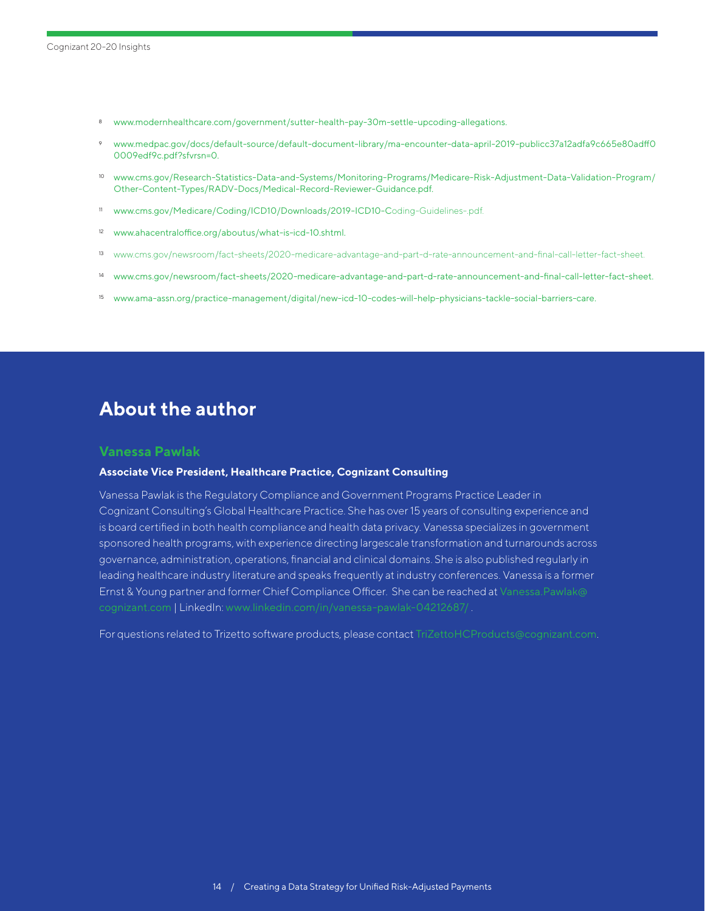- <span id="page-13-0"></span><sup>8</sup> [www.modernhealthcare.com/government/sutter-health-pay-30m-settle-upcoding-allegations.](https://www.modernhealthcare.com/government/sutter-health-pay-30m-settle-upcoding-allegations)
- <sup>9</sup> [www.medpac.gov/docs/default-source/default-document-library/ma-encounter-data-april-2019-publicc37a12adfa9c665e80adff0](http://www.medpac.gov/docs/default-source/default-document-library/ma-encounter-data-april-2019-publicc37a12adfa9c665e80adff00009edf9c.pdf?sfvrsn=0) [0009edf9c.pdf?sfvrsn=0.](http://www.medpac.gov/docs/default-source/default-document-library/ma-encounter-data-april-2019-publicc37a12adfa9c665e80adff00009edf9c.pdf?sfvrsn=0)
- <sup>10</sup> [www.cms.gov/Research-Statistics-Data-and-Systems/Monitoring-Programs/Medicare-Risk-Adjustment-Data-Validation-Program/](https://www.cms.gov/Research-Statistics-Data-and-Systems/Monitoring-Programs/Medicare-Risk-Adjustment-Data-Validation-Program/Other-Content-Types/RADV-Docs/Medical-Record-Reviewer-Guidance.pdf) [Other-Content-Types/RADV-Docs/Medical-Record-Reviewer-Guidance.pdf.](https://www.cms.gov/Research-Statistics-Data-and-Systems/Monitoring-Programs/Medicare-Risk-Adjustment-Data-Validation-Program/Other-Content-Types/RADV-Docs/Medical-Record-Reviewer-Guidance.pdf)
- <sup>11</sup> [www.cms.gov/Medicare/Coding/ICD10/Downloads/2019-ICD10-C](https://www.cms.gov/Medicare/Coding/ICD10/Downloads/2019-ICD10-Coding-Guidelines-.pdf)oding-Guidelines-.pdf.
- <sup>12</sup> [www.ahacentraloffice.org/aboutus/what-is-icd-10.shtml.](http://www.ahacentraloffice.org/aboutus/what-is-icd-10.shtml)
- <sup>13</sup> [www.cms.gov/newsroom/fact-sheets/2020-medicare-advantage-and-part-d-rate-announcement-and-final-call-letter-fact-sheet.](https://www.cms.gov/newsroom/fact-sheets/2020-medicare-advantage-and-part-d-rate-announcement-and-final-call-letter-fact-sheet)
- <sup>14</sup> [www.cms.gov/newsroom/fact-sheets/2020-medicare-advantage-and-part-d-rate-announcement-and-final-call-letter-fact-sheet](https://www.cms.gov/newsroom/fact-sheets/2020-medicare-advantage-and-part-d-rate-announcement-and-final-call-letter-fact-sheet).
- <sup>15</sup> [www.ama-assn.org/practice-management/digital/new-icd-10-codes-will-help-physicians-tackle-social-barriers-care](https://www.ama-assn.org/practice-management/digital/new-icd-10-codes-will-help-physicians-tackle-social-barriers-care).

## **About the author**

#### **Vanessa Pawlak**

#### **Associate Vice President, Healthcare Practice, Cognizant Consulting**

Vanessa Pawlak is the Regulatory Compliance and Government Programs Practice Leader in Cognizant Consulting's Global Healthcare Practice. She has over 15 years of consulting experience and is board certified in both health compliance and health data privacy. Vanessa specializes in government sponsored health programs, with experience directing largescale transformation and turnarounds across governance, administration, operations, financial and clinical domains. She is also published regularly in leading healthcare industry literature and speaks frequently at industry conferences. Vanessa is a former Ernst & Young partner and former Chief Compliance Officer. She can be reached at [Vanessa.Pawlak@](mailto:Vanessa.Pawlak%40cognizant.com?subject=) [cognizant.com](mailto:Vanessa.Pawlak%40cognizant.com?subject=) | LinkedIn: [www.linkedin.com/in/vanessa-pawlak-04212687/](https://www.linkedin.com/in/vanessa-pawlak-04212687/ ) .

For questions related to Trizetto software products, please contact [TriZettoHCProducts@cognizant.com](mailto:TriZettoHCProducts%40cognizant.com?subject=).